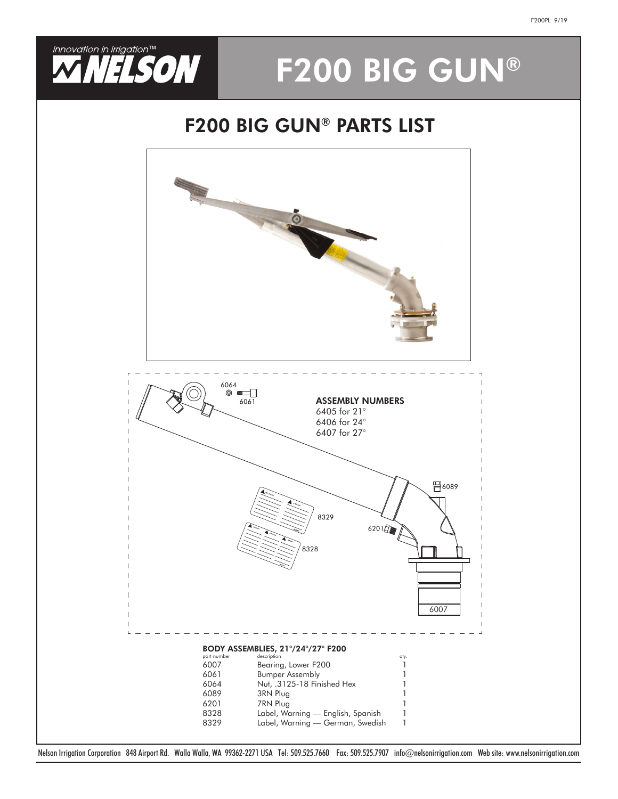

# F200 BIG GUN®

## F200 BIG GUN® PARTS LIST



Nelson Irrigation Corporation 848 Airport Rd. Walla Walla, WA 99362-2271 USA Tel: 509.525.7660 Fax: 509.525.7907 info@nelsonirrigation.com Web site: www.nelsonirrigation.com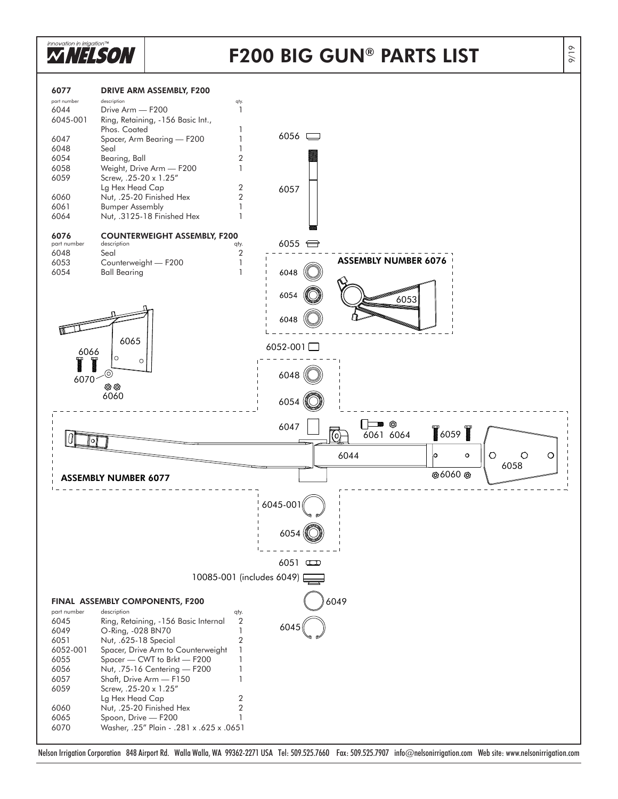

### F200 BIG GUN ® PARTS LIST



Nelson Irrigation Corporation 848 Airport Rd. Walla Walla, WA 99362-2271 USA Tel: 509.525.7660 Fax: 509.525.7907 info@nelsonirrigation.com Web site: www.nelsonirrigation.com

9/19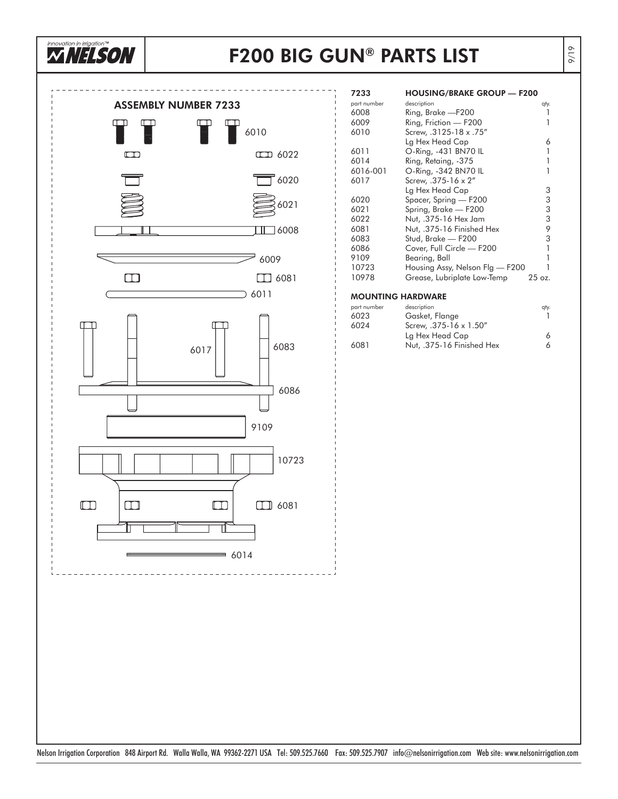

### F200 BIG GUN® PARTS LIST



| 7233        | <b>HOUSING/BRAKE GROUP — F200</b> |                   |
|-------------|-----------------------------------|-------------------|
| part number | description                       | qty.              |
| 6008        | Ring, Brake — F200                |                   |
| 6009        | Ring, Friction - F200             |                   |
| 6010        | Screw, .3125-18 x .75"            |                   |
|             | Lg Hex Head Cap                   | 6                 |
| 6011        | O-Ring, -431 BN70 IL              | 1                 |
| 6014        | Ring, Retaing, -375               | 1                 |
| 6016-001    | O-Ring, -342 BN70 IL              |                   |
| 6017        | Screw, .375-16 x 2"               |                   |
|             | Lg Hex Head Cap                   | 3                 |
| 6020        | Spacer, Spring - F200             | 3                 |
| 6021        | Spring, Brake - F200              | 3                 |
| 6022        | Nut, .375-16 Hex Jam              | 3                 |
| 6081        | Nut, .375-16 Finished Hex         | 9                 |
| 6083        | Stud, Brake — F200                | 3                 |
| 6086        | Cover, Full Circle — F200         | 1                 |
| 9109        | Bearing, Ball                     |                   |
| 10723       | Housing Assy, Nelson Flg — F200   |                   |
| 10978       | Grease, Lubriplate Low-Temp       | $25 \text{ oz}$ . |

#### MOUNTING HARDWARE

| description               | qty. |
|---------------------------|------|
| Gasket, Flange            |      |
| Screw, .375-16 x 1.50"    |      |
| Lg Hex Head Cap           | 6.   |
| Nut, .375-16 Finished Hex | 6.   |
|                           |      |

Nelson Irrigation Corporation 848 Airport Rd. Walla Walla, WA 99362-2271 USA Tel: 509.525.7660 Fax: 509.525.7907 info@nelsonirrigation.com Web site: www.nelsonirrigation.com

9/19